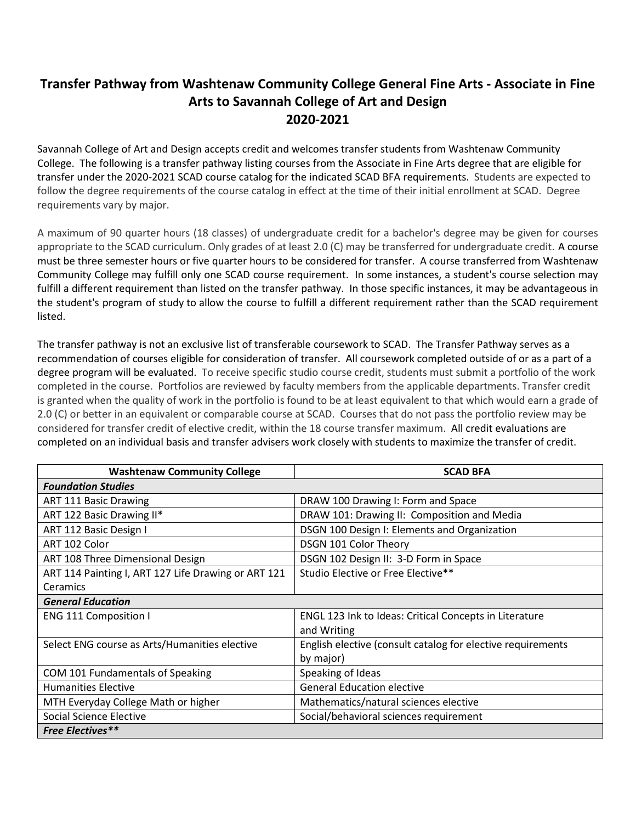## **Transfer Pathway from Washtenaw Community College General Fine Arts - Associate in Fine Arts to Savannah College of Art and Design 2020-2021**

Savannah College of Art and Design accepts credit and welcomes transfer students from Washtenaw Community College. The following is a transfer pathway listing courses from the Associate in Fine Arts degree that are eligible for transfer under the 2020-2021 SCAD course catalog for the indicated SCAD BFA requirements. Students are expected to follow the degree requirements of the course catalog in effect at the time of their initial enrollment at SCAD. Degree requirements vary by major.

A maximum of 90 quarter hours (18 classes) of undergraduate credit for a bachelor's degree may be given for courses appropriate to the SCAD curriculum. Only grades of at least 2.0 (C) may be transferred for undergraduate credit. A course must be three semester hours or five quarter hours to be considered for transfer. A course transferred from Washtenaw Community College may fulfill only one SCAD course requirement. In some instances, a student's course selection may fulfill a different requirement than listed on the transfer pathway. In those specific instances, it may be advantageous in the student's program of study to allow the course to fulfill a different requirement rather than the SCAD requirement listed.

The transfer pathway is not an exclusive list of transferable coursework to SCAD. The Transfer Pathway serves as a recommendation of courses eligible for consideration of transfer. All coursework completed outside of or as a part of a degree program will be evaluated. To receive specific studio course credit, students must submit a portfolio of the work completed in the course. Portfolios are reviewed by faculty members from the applicable departments. Transfer credit is granted when the quality of work in the portfolio is found to be at least equivalent to that which would earn a grade of 2.0 (C) or better in an equivalent or comparable course at SCAD. Courses that do not pass the portfolio review may be considered for transfer credit of elective credit, within the 18 course transfer maximum. All credit evaluations are completed on an individual basis and transfer advisers work closely with students to maximize the transfer of credit.

| <b>Washtenaw Community College</b>                  | <b>SCAD BFA</b>                                             |
|-----------------------------------------------------|-------------------------------------------------------------|
| <b>Foundation Studies</b>                           |                                                             |
| <b>ART 111 Basic Drawing</b>                        | DRAW 100 Drawing I: Form and Space                          |
| ART 122 Basic Drawing II*                           | DRAW 101: Drawing II: Composition and Media                 |
| ART 112 Basic Design I                              | DSGN 100 Design I: Elements and Organization                |
| ART 102 Color                                       | DSGN 101 Color Theory                                       |
| ART 108 Three Dimensional Design                    | DSGN 102 Design II: 3-D Form in Space                       |
| ART 114 Painting I, ART 127 Life Drawing or ART 121 | Studio Elective or Free Elective**                          |
| <b>Ceramics</b>                                     |                                                             |
| <b>General Education</b>                            |                                                             |
| <b>ENG 111 Composition I</b>                        | ENGL 123 Ink to Ideas: Critical Concepts in Literature      |
|                                                     | and Writing                                                 |
| Select ENG course as Arts/Humanities elective       | English elective (consult catalog for elective requirements |
|                                                     | by major)                                                   |
| COM 101 Fundamentals of Speaking                    | Speaking of Ideas                                           |
| <b>Humanities Elective</b>                          | <b>General Education elective</b>                           |
| MTH Everyday College Math or higher                 | Mathematics/natural sciences elective                       |
| Social Science Elective                             | Social/behavioral sciences requirement                      |
| <b>Free Electives**</b>                             |                                                             |